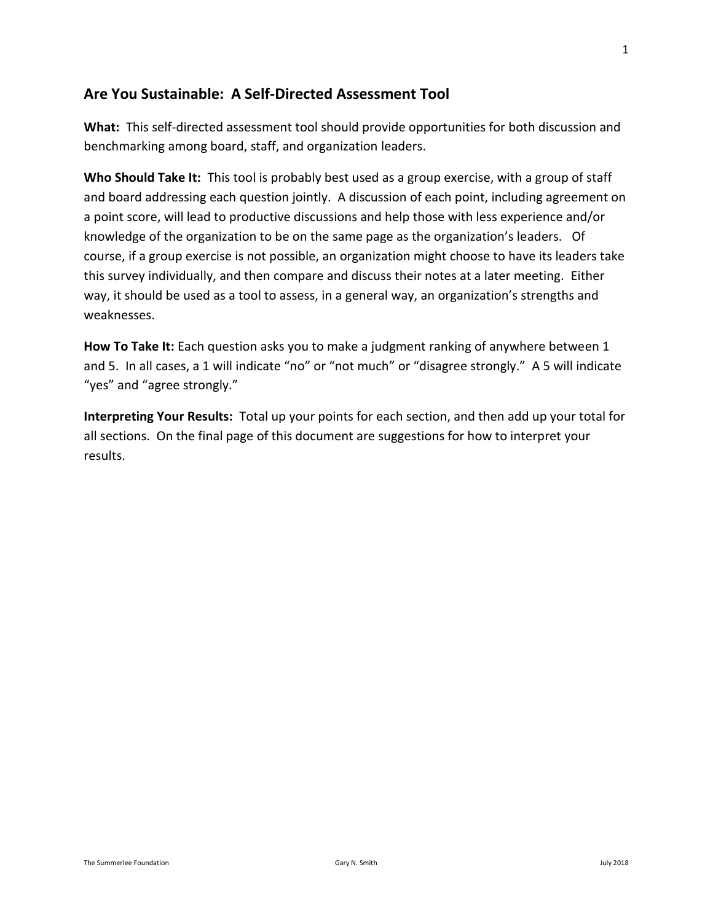### **Are You Sustainable: A Self-Directed Assessment Tool**

**What:** This self-directed assessment tool should provide opportunities for both discussion and benchmarking among board, staff, and organization leaders.

**Who Should Take It:** This tool is probably best used as a group exercise, with a group of staff and board addressing each question jointly. A discussion of each point, including agreement on a point score, will lead to productive discussions and help those with less experience and/or knowledge of the organization to be on the same page as the organization's leaders. Of course, if a group exercise is not possible, an organization might choose to have its leaders take this survey individually, and then compare and discuss their notes at a later meeting. Either way, it should be used as a tool to assess, in a general way, an organization's strengths and weaknesses.

**How To Take It:** Each question asks you to make a judgment ranking of anywhere between 1 and 5. In all cases, a 1 will indicate "no" or "not much" or "disagree strongly." A 5 will indicate "yes" and "agree strongly."

**Interpreting Your Results:** Total up your points for each section, and then add up your total for all sections. On the final page of this document are suggestions for how to interpret your results.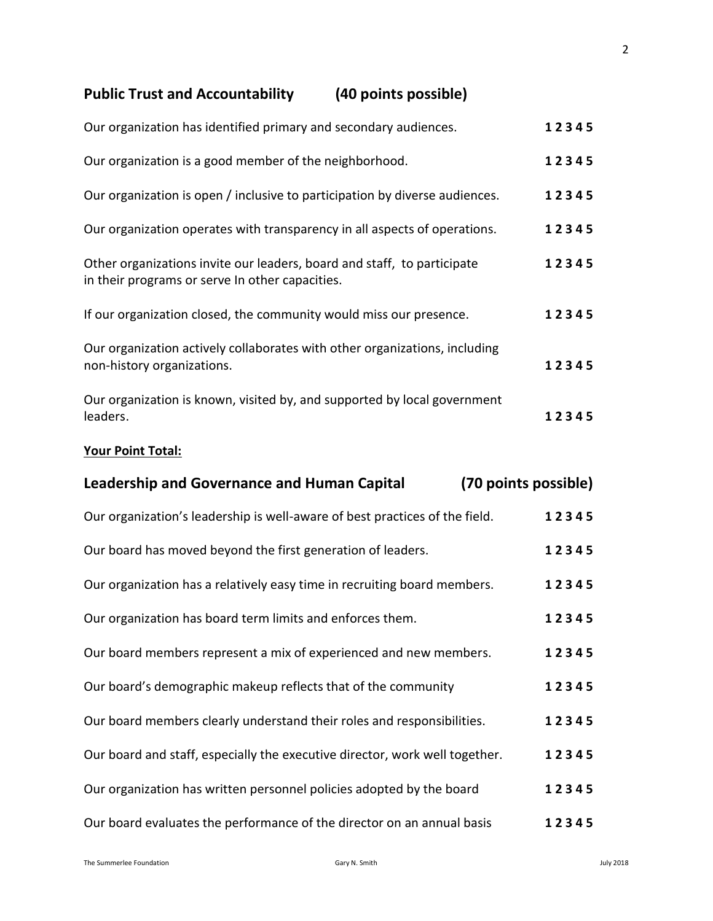# **Public Trust and Accountability (40 points possible)**

| Our organization has identified primary and secondary audiences.                                                           | 12345 |
|----------------------------------------------------------------------------------------------------------------------------|-------|
| Our organization is a good member of the neighborhood.                                                                     | 12345 |
| Our organization is open / inclusive to participation by diverse audiences.                                                | 12345 |
| Our organization operates with transparency in all aspects of operations.                                                  | 12345 |
| Other organizations invite our leaders, board and staff, to participate<br>in their programs or serve In other capacities. | 12345 |
| If our organization closed, the community would miss our presence.                                                         | 12345 |
| Our organization actively collaborates with other organizations, including<br>non-history organizations.                   | 12345 |
| Our organization is known, visited by, and supported by local government<br>leaders.                                       | 12345 |

### **Your Point Total:**

| <b>Leadership and Governance and Human Capital</b>                          | (70 points possible) |
|-----------------------------------------------------------------------------|----------------------|
| Our organization's leadership is well-aware of best practices of the field. | 12345                |
| Our board has moved beyond the first generation of leaders.                 | 12345                |
| Our organization has a relatively easy time in recruiting board members.    | 12345                |
| Our organization has board term limits and enforces them.                   | 12345                |
| Our board members represent a mix of experienced and new members.           | 12345                |
| Our board's demographic makeup reflects that of the community               | 12345                |
| Our board members clearly understand their roles and responsibilities.      | 12345                |
| Our board and staff, especially the executive director, work well together. | 12345                |
| Our organization has written personnel policies adopted by the board        | 12345                |
| Our board evaluates the performance of the director on an annual basis      | 12345                |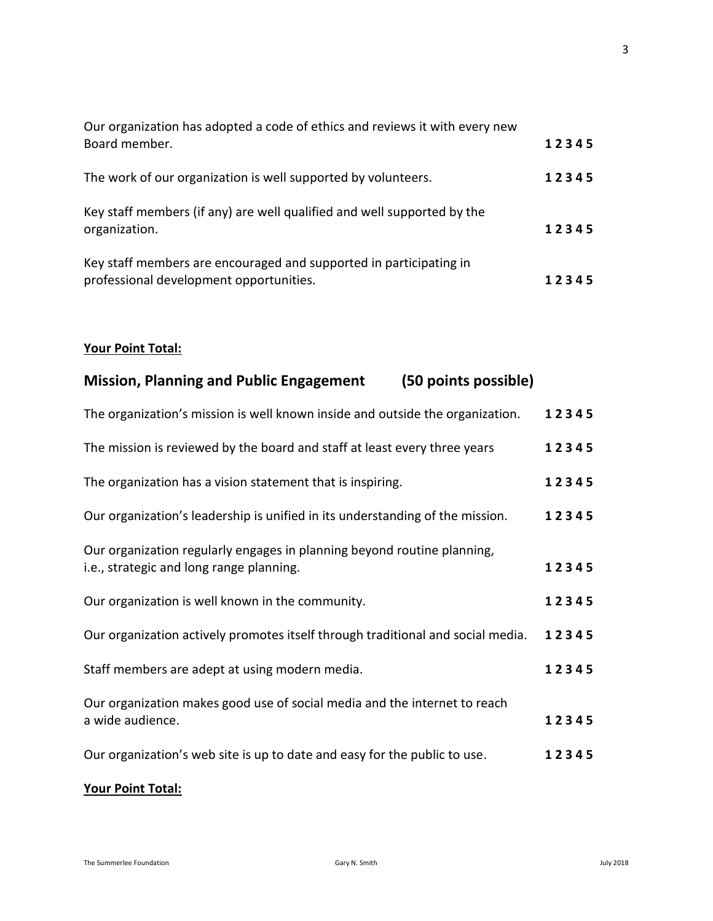| Our organization has adopted a code of ethics and reviews it with every new<br>Board member.                  | 12345 |
|---------------------------------------------------------------------------------------------------------------|-------|
| The work of our organization is well supported by volunteers.                                                 | 12345 |
| Key staff members (if any) are well qualified and well supported by the<br>organization.                      | 12345 |
| Key staff members are encouraged and supported in participating in<br>professional development opportunities. | 12345 |

#### **Your Point Total:**

| <b>Mission, Planning and Public Engagement</b><br>(50 points possible)                                              |       |
|---------------------------------------------------------------------------------------------------------------------|-------|
| The organization's mission is well known inside and outside the organization.                                       | 12345 |
| The mission is reviewed by the board and staff at least every three years                                           | 12345 |
| The organization has a vision statement that is inspiring.                                                          | 12345 |
| Our organization's leadership is unified in its understanding of the mission.                                       | 12345 |
| Our organization regularly engages in planning beyond routine planning,<br>i.e., strategic and long range planning. | 12345 |
| Our organization is well known in the community.                                                                    | 12345 |
| Our organization actively promotes itself through traditional and social media.                                     | 12345 |
| Staff members are adept at using modern media.                                                                      | 12345 |
| Our organization makes good use of social media and the internet to reach<br>a wide audience.                       | 12345 |
| Our organization's web site is up to date and easy for the public to use.                                           | 12345 |
|                                                                                                                     |       |

### **Your Point Total:**

3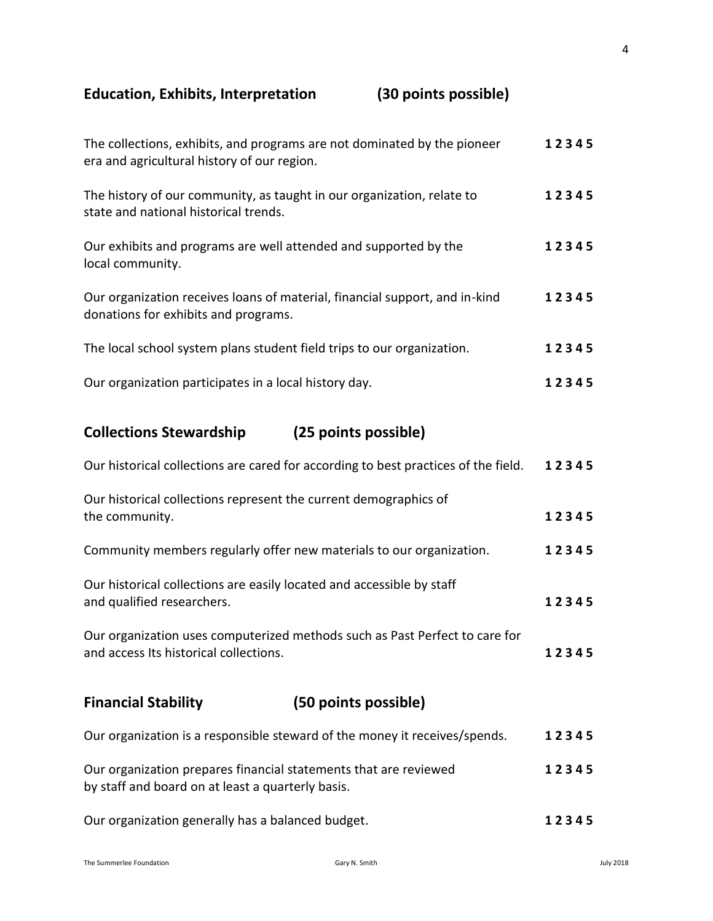## **Education, Exhibits, Interpretation (30 points possible)**

| The collections, exhibits, and programs are not dominated by the pioneer<br>era and agricultural history of our region. | 12345 |
|-------------------------------------------------------------------------------------------------------------------------|-------|
| The history of our community, as taught in our organization, relate to<br>state and national historical trends.         | 12345 |
| Our exhibits and programs are well attended and supported by the<br>local community.                                    | 12345 |
| Our organization receives loans of material, financial support, and in-kind<br>donations for exhibits and programs.     | 12345 |
| The local school system plans student field trips to our organization.                                                  | 12345 |
| Our organization participates in a local history day.                                                                   | 12345 |
|                                                                                                                         |       |

## **Collections Stewardship (25 points possible)**

| <b>Financial Stability</b>                                                                                            | (50 points possible)                                                               |       |
|-----------------------------------------------------------------------------------------------------------------------|------------------------------------------------------------------------------------|-------|
| Our organization uses computerized methods such as Past Perfect to care for<br>and access Its historical collections. |                                                                                    | 12345 |
| Our historical collections are easily located and accessible by staff<br>and qualified researchers.                   |                                                                                    | 12345 |
|                                                                                                                       | Community members regularly offer new materials to our organization.               | 12345 |
| Our historical collections represent the current demographics of<br>the community.                                    |                                                                                    | 12345 |
|                                                                                                                       | Our historical collections are cared for according to best practices of the field. | 12345 |

| Our organization is a responsible steward of the money it receives/spends.                                            | 12345 |
|-----------------------------------------------------------------------------------------------------------------------|-------|
| Our organization prepares financial statements that are reviewed<br>by staff and board on at least a quarterly basis. | 12345 |

| Our organization generally has a balanced budget. | 12345 |
|---------------------------------------------------|-------|
|---------------------------------------------------|-------|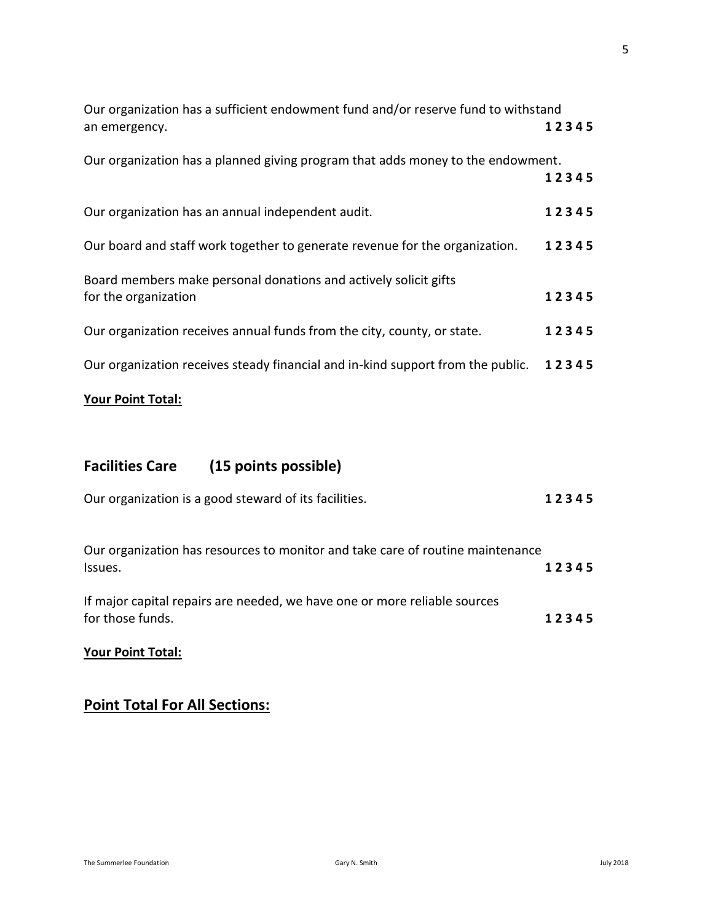| Our organization has a sufficient endowment fund and/or reserve fund to withstand        |       |
|------------------------------------------------------------------------------------------|-------|
| an emergency.                                                                            | 12345 |
| Our organization has a planned giving program that adds money to the endowment.          | 12345 |
| Our organization has an annual independent audit.                                        | 12345 |
| Our board and staff work together to generate revenue for the organization.              | 12345 |
| Board members make personal donations and actively solicit gifts<br>for the organization | 12345 |
| Our organization receives annual funds from the city, county, or state.                  | 12345 |
| Our organization receives steady financial and in-kind support from the public.          | 12345 |
| <b>Your Point Total:</b>                                                                 |       |

# **Facilities Care (15 points possible)**

| Our organization is a good steward of its facilities.                                         | 12345 |
|-----------------------------------------------------------------------------------------------|-------|
| Our organization has resources to monitor and take care of routine maintenance<br>Issues.     | 12345 |
| If major capital repairs are needed, we have one or more reliable sources<br>for those funds. | 12345 |
| <b>Your Point Total:</b>                                                                      |       |

### **Point Total For All Sections:**